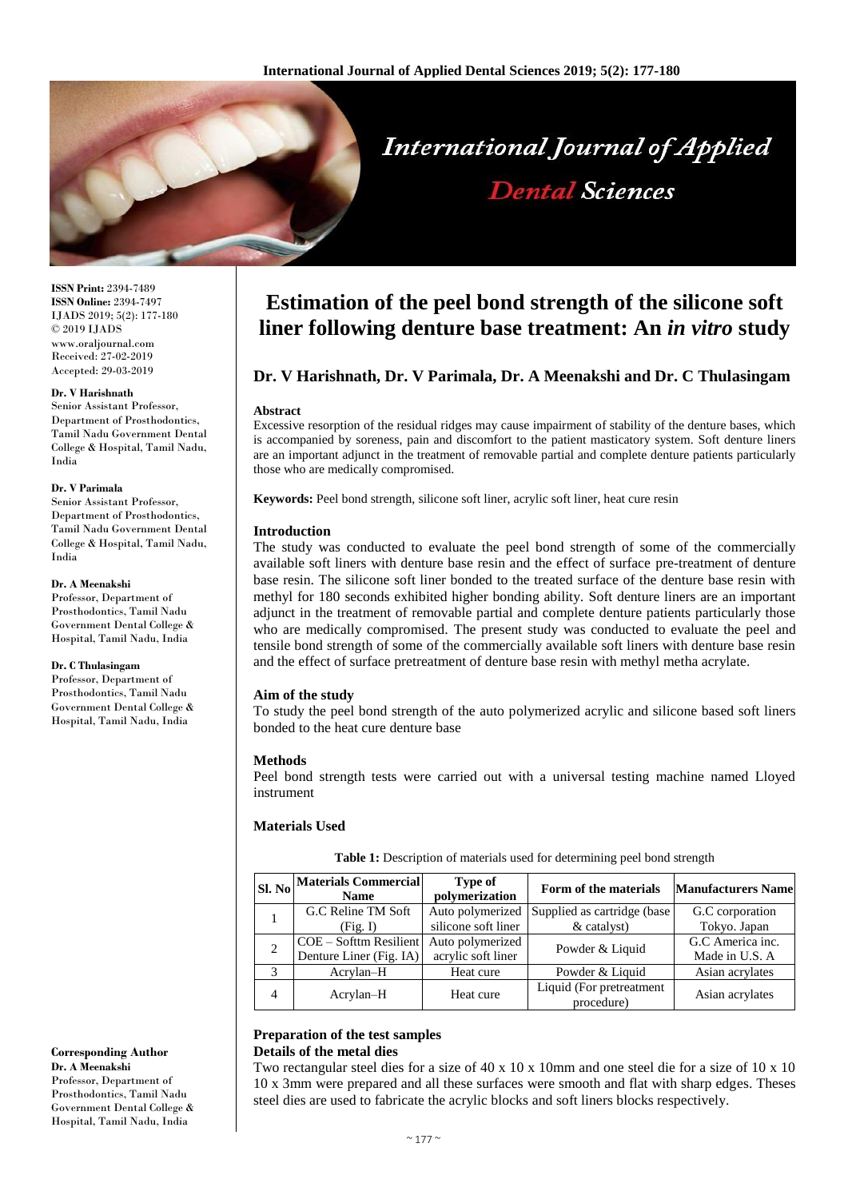

**ISSN Print:** 2394-7489 **ISSN Online:** 2394-7497 IJADS 2019; 5(2): 177-180 © 2019 IJADS www.oraljournal.com Received: 27-02-2019 Accepted: 29-03-2019

#### **Dr. V Harishnath**

Senior Assistant Professor, Department of Prosthodontics, Tamil Nadu Government Dental College & Hospital, Tamil Nadu, India

#### **Dr. V Parimala**

Senior Assistant Professor, Department of Prosthodontics, Tamil Nadu Government Dental College & Hospital, Tamil Nadu, India

#### **Dr. A Meenakshi**

Professor, Department of Prosthodontics, Tamil Nadu Government Dental College & Hospital, Tamil Nadu, India

#### **Dr. C Thulasingam**

Professor, Department of Prosthodontics, Tamil Nadu Government Dental College & Hospital, Tamil Nadu, India

**Corresponding Author Dr. A Meenakshi** Professor, Department of Prosthodontics, Tamil Nadu Government Dental College & Hospital, Tamil Nadu, India

# **Estimation of the peel bond strength of the silicone soft liner following denture base treatment: An** *in vitro* **study**

# **Dr. V Harishnath, Dr. V Parimala, Dr. A Meenakshi and Dr. C Thulasingam**

#### **Abstract**

Excessive resorption of the residual ridges may cause impairment of stability of the denture bases, which is accompanied by soreness, pain and discomfort to the patient masticatory system. Soft denture liners are an important adjunct in the treatment of removable partial and complete denture patients particularly those who are medically compromised.

**Keywords:** Peel bond strength, silicone soft liner, acrylic soft liner, heat cure resin

#### **Introduction**

The study was conducted to evaluate the peel bond strength of some of the commercially available soft liners with denture base resin and the effect of surface pre-treatment of denture base resin. The silicone soft liner bonded to the treated surface of the denture base resin with methyl for 180 seconds exhibited higher bonding ability. Soft denture liners are an important adjunct in the treatment of removable partial and complete denture patients particularly those who are medically compromised. The present study was conducted to evaluate the peel and tensile bond strength of some of the commercially available soft liners with denture base resin and the effect of surface pretreatment of denture base resin with methyl metha acrylate.

#### **Aim of the study**

To study the peel bond strength of the auto polymerized acrylic and silicone based soft liners bonded to the heat cure denture base

#### **Methods**

Peel bond strength tests were carried out with a universal testing machine named Lloyed instrument

#### **Materials Used**

**Table 1:** Description of materials used for determining peel bond strength

|   | $ _{\text{Sl. No}}$ Materials Commercial<br><b>Name</b> | <b>Type of</b><br>polymerization | Form of the materials                  | <b>Manufacturers Name</b> |
|---|---------------------------------------------------------|----------------------------------|----------------------------------------|---------------------------|
|   | G.C Reline TM Soft                                      | Auto polymerized                 | Supplied as cartridge (base            | G.C corporation           |
|   | (Fig. I)                                                | silicone soft liner              | & catalyst)                            | Tokyo. Japan              |
|   | COE - Softtm Resilient                                  | Auto polymerized                 | Powder & Liquid                        | G.C America inc.          |
|   | Denture Liner (Fig. IA)                                 | acrylic soft liner               |                                        | Made in U.S. A            |
|   | Acrylan-H                                               | Heat cure                        | Powder & Liquid                        | Asian acrylates           |
| 4 | Acrylan-H                                               | Heat cure                        | Liquid (For pretreatment<br>procedure) | Asian acrylates           |

#### **Preparation of the test samples Details of the metal dies**

Two rectangular steel dies for a size of 40 x 10 x 10mm and one steel die for a size of 10 x 10 10 x 3mm were prepared and all these surfaces were smooth and flat with sharp edges. Theses steel dies are used to fabricate the acrylic blocks and soft liners blocks respectively.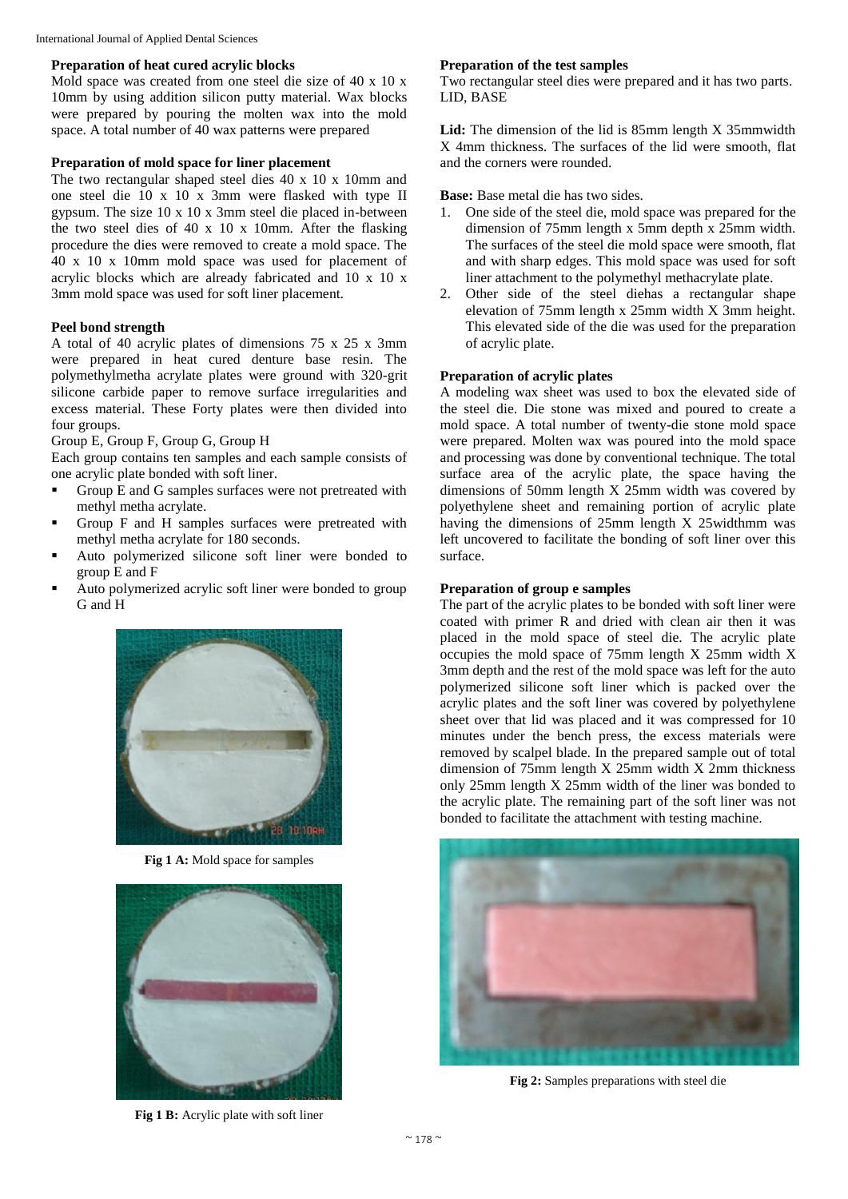# **Preparation of heat cured acrylic blocks**

Mold space was created from one steel die size of 40 x 10 x 10mm by using addition silicon putty material. Wax blocks were prepared by pouring the molten wax into the mold space. A total number of 40 wax patterns were prepared

# **Preparation of mold space for liner placement**

The two rectangular shaped steel dies 40 x 10 x 10mm and one steel die 10 x 10 x 3mm were flasked with type II gypsum. The size 10 x 10 x 3mm steel die placed in-between the two steel dies of 40 x 10 x 10mm. After the flasking procedure the dies were removed to create a mold space. The 40 x 10 x 10mm mold space was used for placement of acrylic blocks which are already fabricated and 10 x 10 x 3mm mold space was used for soft liner placement.

# **Peel bond strength**

A total of 40 acrylic plates of dimensions 75 x 25 x 3mm were prepared in heat cured denture base resin. The polymethylmetha acrylate plates were ground with 320-grit silicone carbide paper to remove surface irregularities and excess material. These Forty plates were then divided into four groups.

Group E, Group F, Group G, Group H

Each group contains ten samples and each sample consists of one acrylic plate bonded with soft liner.

- Group E and G samples surfaces were not pretreated with methyl metha acrylate.
- Group F and H samples surfaces were pretreated with methyl metha acrylate for 180 seconds.
- Auto polymerized silicone soft liner were bonded to group E and F
- Auto polymerized acrylic soft liner were bonded to group G and H



**Fig 1 A:** Mold space for samples



**Fig 1 B:** Acrylic plate with soft liner

#### **Preparation of the test samples**

Two rectangular steel dies were prepared and it has two parts. LID, BASE

**Lid:** The dimension of the lid is 85mm length X 35mmwidth X 4mm thickness. The surfaces of the lid were smooth, flat and the corners were rounded.

**Base:** Base metal die has two sides.

- 1. One side of the steel die, mold space was prepared for the dimension of 75mm length x 5mm depth x 25mm width. The surfaces of the steel die mold space were smooth, flat and with sharp edges. This mold space was used for soft liner attachment to the polymethyl methacrylate plate.
- 2. Other side of the steel diehas a rectangular shape elevation of 75mm length x 25mm width X 3mm height. This elevated side of the die was used for the preparation of acrylic plate.

# **Preparation of acrylic plates**

A modeling wax sheet was used to box the elevated side of the steel die. Die stone was mixed and poured to create a mold space. A total number of twenty-die stone mold space were prepared. Molten wax was poured into the mold space and processing was done by conventional technique. The total surface area of the acrylic plate, the space having the dimensions of 50mm length X 25mm width was covered by polyethylene sheet and remaining portion of acrylic plate having the dimensions of 25mm length X 25widthmm was left uncovered to facilitate the bonding of soft liner over this surface.

# **Preparation of group e samples**

The part of the acrylic plates to be bonded with soft liner were coated with primer R and dried with clean air then it was placed in the mold space of steel die. The acrylic plate occupies the mold space of 75mm length X 25mm width X 3mm depth and the rest of the mold space was left for the auto polymerized silicone soft liner which is packed over the acrylic plates and the soft liner was covered by polyethylene sheet over that lid was placed and it was compressed for 10 minutes under the bench press, the excess materials were removed by scalpel blade. In the prepared sample out of total dimension of 75mm length X 25mm width X 2mm thickness only 25mm length X 25mm width of the liner was bonded to the acrylic plate. The remaining part of the soft liner was not bonded to facilitate the attachment with testing machine.



**Fig 2:** Samples preparations with steel die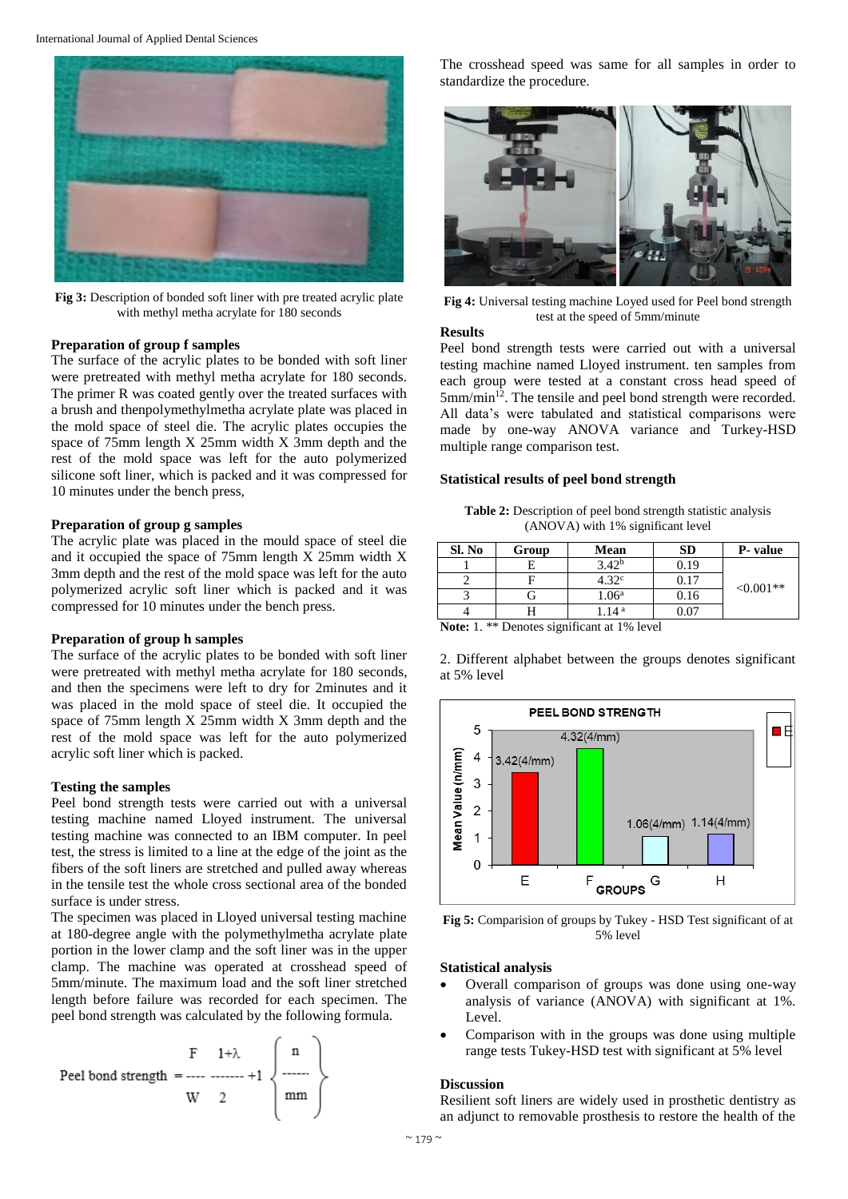

**Fig 3:** Description of bonded soft liner with pre treated acrylic plate with methyl metha acrylate for 180 seconds

#### **Preparation of group f samples**

The surface of the acrylic plates to be bonded with soft liner were pretreated with methyl metha acrylate for 180 seconds. The primer R was coated gently over the treated surfaces with a brush and thenpolymethylmetha acrylate plate was placed in the mold space of steel die. The acrylic plates occupies the space of 75mm length X 25mm width X 3mm depth and the rest of the mold space was left for the auto polymerized silicone soft liner, which is packed and it was compressed for 10 minutes under the bench press,

#### **Preparation of group g samples**

The acrylic plate was placed in the mould space of steel die and it occupied the space of 75mm length X 25mm width X 3mm depth and the rest of the mold space was left for the auto polymerized acrylic soft liner which is packed and it was compressed for 10 minutes under the bench press.

#### **Preparation of group h samples**

The surface of the acrylic plates to be bonded with soft liner were pretreated with methyl metha acrylate for 180 seconds, and then the specimens were left to dry for 2minutes and it was placed in the mold space of steel die. It occupied the space of 75mm length X 25mm width X 3mm depth and the rest of the mold space was left for the auto polymerized acrylic soft liner which is packed.

#### **Testing the samples**

Peel bond strength tests were carried out with a universal testing machine named Lloyed instrument. The universal testing machine was connected to an IBM computer. In peel test, the stress is limited to a line at the edge of the joint as the fibers of the soft liners are stretched and pulled away whereas in the tensile test the whole cross sectional area of the bonded surface is under stress.

The specimen was placed in Lloyed universal testing machine at 180-degree angle with the polymethylmetha acrylate plate portion in the lower clamp and the soft liner was in the upper clamp. The machine was operated at crosshead speed of 5mm/minute. The maximum load and the soft liner stretched length before failure was recorded for each specimen. The peel bond strength was calculated by the following formula.



The crosshead speed was same for all samples in order to standardize the procedure.



**Fig 4:** Universal testing machine Loyed used for Peel bond strength test at the speed of 5mm/minute

## **Results**

Peel bond strength tests were carried out with a universal testing machine named Lloyed instrument. ten samples from each group were tested at a constant cross head speed of  $5$ mm/min<sup>12</sup>. The tensile and peel bond strength were recorded. All data's were tabulated and statistical comparisons were made by one-way ANOVA variance and Turkey-HSD multiple range comparison test.

#### **Statistical results of peel bond strength**

**Table 2:** Description of peel bond strength statistic analysis (ANOVA) with 1% significant level

| Sl. No                                                              | Group | Mean              | <b>SD</b> | P- value    |  |  |
|---------------------------------------------------------------------|-------|-------------------|-----------|-------------|--|--|
|                                                                     |       | $3.42^{b}$        | 0.19      | $< 0.001**$ |  |  |
|                                                                     |       | 4.32 <sup>c</sup> | 0.17      |             |  |  |
|                                                                     |       | 1.06 <sup>a</sup> | 0.16      |             |  |  |
|                                                                     |       | 1.14 <sup>a</sup> | 0.07      |             |  |  |
| $\cdot$<br>$-  -$<br>$\mathbf{a}$ and $\mathbf{a}$ and $\mathbf{a}$ |       |                   |           |             |  |  |

**Note:** 1. \*\* Denotes significant at 1% level

2. Different alphabet between the groups denotes significant at 5% level



**Fig 5:** Comparision of groups by Tukey - HSD Test significant of at 5% level

#### **Statistical analysis**

- Overall comparison of groups was done using one-way analysis of variance (ANOVA) with significant at 1%. Level.
- Comparison with in the groups was done using multiple range tests Tukey-HSD test with significant at 5% level

## **Discussion**

Resilient soft liners are widely used in prosthetic dentistry as an adjunct to removable prosthesis to restore the health of the